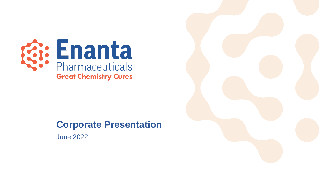

### **Corporate Presentation**

June 2022

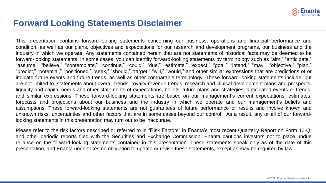

#### **Forward Looking Statements Disclaimer**

This presentation contains forward-looking statements concerning our business, operations and financial performance and condition, as well as our plans, objectives and expectations for our research and development programs, our business and the industry in which we operate. Any statements contained herein that are not statements of historical facts may be deemed to be forward-looking statements. In some cases, you can identify forward-looking statements by terminology such as "aim," "anticipate," "assume," "believe," "contemplate," "continue," "could," "due," "estimate," "expect," "goal," "intend," "may," "objective," "plan," "predict," "potential," "positioned," "seek," "should," "target," "will," "would," and other similar expressions that are predictions of or indicate future events and future trends, as well as other comparable terminology. These forward-looking statements include, but are not limited to, statements about overall trends, royalty revenue trends, research and clinical development plans and prospects, liquidity and capital needs and other statements of expectations, beliefs, future plans and strategies, anticipated events or trends, and similar expressions. These forward-looking statements are based on our management's current expectations, estimates, forecasts and projections about our business and the industry in which we operate and our management's beliefs and assumptions. These forward-looking statements are not guarantees of future performance or results and involve known and unknown risks, uncertainties and other factors that are in some cases beyond our control. As a result, any or all of our forwardlooking statements in this presentation may turn out to be inaccurate.

Please refer to the risk factors described or referred to in "Risk Factors" in Enanta's most recent Quarterly Report on Form 10-Q, and other periodic reports filed with the Securities and Exchange Commission. Enanta cautions investors not to place undue reliance on the forward-looking statements contained in this presentation. These statements speak only as of the date of this presentation, and Enanta undertakes no obligation to update or revise these statements, except as may be required by law.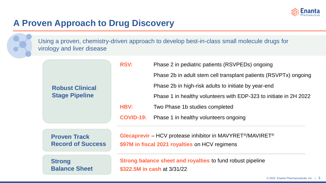

### **A Proven Approach to Drug Discovery**

Using a proven, chemistry-driven approach to develop best-in-class small molecule drugs for virology and liver disease

|                          | <b>RSV:</b><br>Phase 2 in pediatric patients (RSVPEDs) ongoing                                   |                                                                                    |  |
|--------------------------|--------------------------------------------------------------------------------------------------|------------------------------------------------------------------------------------|--|
|                          |                                                                                                  | Phase 2b in adult stem cell transplant patients (RSVPTx) ongoing                   |  |
| <b>Robust Clinical</b>   |                                                                                                  | Phase 2b in high-risk adults to initiate by year-end                               |  |
| <b>Stage Pipeline</b>    |                                                                                                  | Phase 1 in healthy volunteers with EDP-323 to initiate in 2H 2022                  |  |
|                          | <b>HBV:</b>                                                                                      | Two Phase 1b studies completed                                                     |  |
|                          | <b>COVID-19:</b>                                                                                 | Phase 1 in healthy volunteers ongoing                                              |  |
| <b>Proven Track</b>      |                                                                                                  | Glecaprevir – HCV protease inhibitor in MAVYRET <sup>®</sup> /MAVIRET <sup>®</sup> |  |
| <b>Record of Success</b> |                                                                                                  | \$97M in fiscal 2021 royalties on HCV regimens                                     |  |
| <b>Strong</b>            | <b>Strong balance sheet and royalties to fund robust pipeline</b><br>\$322.5M in cash at 3/31/22 |                                                                                    |  |
| <b>Balance Sheet</b>     |                                                                                                  |                                                                                    |  |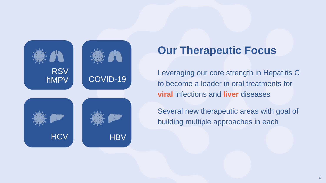

# **Our Therapeutic Focus**

Leveraging our core strength in Hepatitis C to become a leader in oral treatments for **viral** infections and **liver** diseases

Several new therapeutic areas with goal of building multiple approaches in each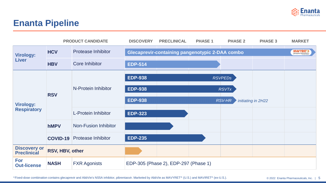

#### **Enanta Pipeline**

|                                           |                 | <b>PRODUCT CANDIDATE</b>    | <b>DISCOVERY</b>                     | <b>PRECLINICAL</b>                                     | <b>PHASE 1</b> | <b>PHASE 2</b> | <b>PHASE 3</b>     | <b>MARKET</b> |
|-------------------------------------------|-----------------|-----------------------------|--------------------------------------|--------------------------------------------------------|----------------|----------------|--------------------|---------------|
| <b>Virology:</b>                          | <b>HCV</b>      | <b>Protease Inhibitor</b>   |                                      | <b>Glecaprevir-containing pangenotypic 2-DAA combo</b> |                |                |                    | MAVYRET       |
| <b>Liver</b>                              | <b>HBV</b>      | <b>Core Inhibitor</b>       | <b>EDP-514</b>                       |                                                        |                |                |                    |               |
|                                           |                 | N-Protein Inhibitor         | <b>EDP-938</b>                       |                                                        |                | <b>RSVPEDS</b> |                    |               |
|                                           | <b>RSV</b>      |                             | <b>EDP-938</b>                       |                                                        |                | <b>RSVTx</b>   |                    |               |
| <b>Virology:</b>                          |                 |                             | <b>EDP-938</b>                       |                                                        |                | <b>RSV-HR</b>  | initiating in 2H22 |               |
| <b>Respiratory</b>                        |                 | <b>L-Protein Inhibitor</b>  | <b>EDP-323</b>                       |                                                        |                |                |                    |               |
|                                           | <b>hMPV</b>     | <b>Non-Fusion Inhibitor</b> |                                      |                                                        |                |                |                    |               |
|                                           | <b>COVID-19</b> | <b>Protease Inhibitor</b>   | <b>EDP-235</b>                       |                                                        |                |                |                    |               |
| <b>Discovery or</b><br><b>Preclinical</b> | RSV, HBV, other |                             |                                      |                                                        |                |                |                    |               |
| For<br><b>Out-license</b>                 | <b>NASH</b>     | <b>FXR Agonists</b>         | EDP-305 (Phase 2), EDP-297 (Phase 1) |                                                        |                |                |                    |               |

\*Fixed-dose combination contains glecaprevir and AbbVie's NS5A inhibitor, pibrentasvir. Marketed by AbbVie as MAVYRET® (U.S.) and MAVIRET® (ex-U.S.).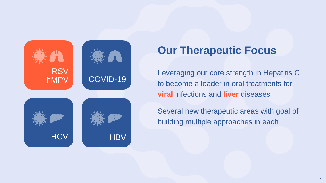

# **Our Therapeutic Focus**

Leveraging our core strength in Hepatitis C to become a leader in oral treatments for **viral** infections and **liver** diseases

Several new therapeutic areas with goal of building multiple approaches in each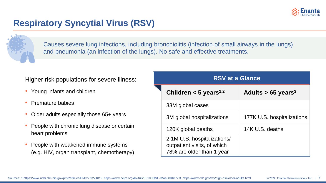

### **Respiratory Syncytial Virus (RSV)**



Causes severe lung infections, including bronchiolitis (infection of small airways in the lungs) and pneumonia (an infection of the lungs). No safe and effective treatments.

#### Higher risk populations for severe illness:

- Young infants and children
- Premature babies
- Older adults especially those 65+ years
- People with chronic lung disease or certain heart problems
- People with weakened immune systems (e.g. HIV, organ transplant, chemotherapy)

| <b>RSV at a Glance</b>                                                                  |                                  |  |  |  |  |
|-----------------------------------------------------------------------------------------|----------------------------------|--|--|--|--|
| Children $<$ 5 years <sup>1,2</sup>                                                     | Adults $> 65$ years <sup>3</sup> |  |  |  |  |
| 33M global cases                                                                        |                                  |  |  |  |  |
| 3M global hospitalizations                                                              | 177K U.S. hospitalizations       |  |  |  |  |
| 120K global deaths                                                                      | 14K U.S. deaths                  |  |  |  |  |
| 2.1M U.S. hospitalizations/<br>outpatient visits, of which<br>78% are older than 1 year |                                  |  |  |  |  |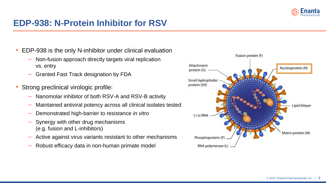

#### **EDP-938: N-Protein Inhibitor for RSV**

- EDP-938 is the only N-inhibitor under clinical evaluation
	- Non-fusion approach directly targets viral replication vs. entry
	- Granted Fast Track designation by FDA
- Strong preclinical virologic profile:
	- Nanomolar inhibitor of both RSV-A and RSV-B activity
	- Maintained antiviral potency across all clinical isolates tested
	- Demonstrated high-barrier to resistance *in vitro*
	- Synergy with other drug mechanisms (e.g. fusion and L-inhibitors)
	- Active against virus variants resistant to other mechanisms
	- Robust efficacy data in non-human primate model

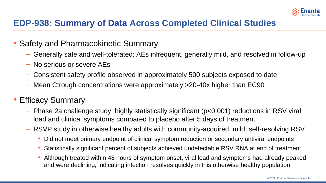

### **EDP-938: Summary of Data Across Completed Clinical Studies**

- Safety and Pharmacokinetic Summary
	- Generally safe and well-tolerated; AEs infrequent, generally mild, and resolved in follow-up
	- No serious or severe AEs
	- Consistent safety profile observed in approximately 500 subjects exposed to date
	- Mean Ctrough concentrations were approximately >20-40x higher than EC90

#### • Efficacy Summary

- Phase 2a challenge study: highly statistically significant (p<0.001) reductions in RSV viral load and clinical symptoms compared to placebo after 5 days of treatment
- RSVP study in otherwise healthy adults with community-acquired, mild, self-resolving RSV
	- Did not meet primary endpoint of clinical symptom reduction or secondary antiviral endpoints
	- Statistically significant percent of subjects achieved undetectable RSV RNA at end of treatment
	- Although treated within 48 hours of symptom onset, viral load and symptoms had already peaked and were declining, indicating infection resolves quickly in this otherwise healthy population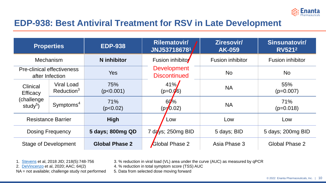

#### **EDP-938: Best Antiviral Treatment for RSV in Late Development**

| <b>Properties</b>                                    |                                      | <b>EDP-938</b>                           | <b>Rilematovir/</b><br>JNJ537186781       | Ziresovir/<br><b>AK-059</b> | Sinsunatovir/<br><b>RV5212</b> |
|------------------------------------------------------|--------------------------------------|------------------------------------------|-------------------------------------------|-----------------------------|--------------------------------|
| <b>Mechanism</b>                                     |                                      | <b>N</b> inhibitor                       | Fusion inhibito                           | <b>Fusion inhibitor</b>     | <b>Fusion inhibitor</b>        |
| <b>Pre-clinical effectiveness</b><br>after Infection |                                      | <b>Yes</b>                               | <b>Development</b><br><b>Discontinued</b> | <b>No</b>                   | <b>No</b>                      |
| <b>Clinical</b><br>Efficacy                          | Viral Load<br>Reduction <sup>3</sup> | $41\%$<br>75%<br>(p<0.001)<br>$(p=0.06)$ |                                           | <b>NA</b>                   | 55%<br>$(p=0.007)$             |
| (challenge<br>study <sup>5</sup> )                   | Symptoms <sup>4</sup>                | 71%<br>(p<0.02)                          | 60%<br>$(p=0.02)$                         | <b>NA</b>                   | 71%<br>$(p=0.018)$             |
| <b>Resistance Barrier</b>                            |                                      | <b>High</b>                              | Low                                       | Low                         | Low                            |
| <b>Dosing Frequency</b>                              |                                      | 5 days; 800mg QD                         | 7 days; 250mg BID                         | 5 days; BID                 | 5 days; 200mg BID              |
| <b>Stage of Development</b>                          |                                      | <b>Global Phase 2</b>                    | Global Phase 2                            | Asia Phase 3                | Global Phase 2                 |

NA = not available; challenge study not performed 5. Data from selected dose moving forward

1. [Stevens](https://pubmed.ncbi.nlm.nih.gov/29684148/) et al, 2018 JID; 218(5):748-756 3. % reduction in viral load (VL) area under the curve (AUC) as measured by qPCR

2. [DeVincenzo](https://journals.asm.org/doi/pdf/10.1128/AAC.01884-19) et al, 2020; AAC; 64(2) 4. % reduction in total symptom score (TSS) AUC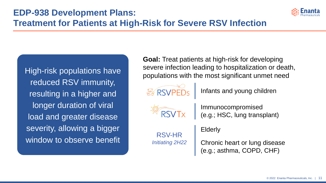

# **Treatment for Patients at High-Risk for Severe RSV Infection**

High-risk populations have reduced RSV immunity, resulting in a higher and longer duration of viral load and greater disease severity, allowing a bigger window to observe benefit

**Goal:** Treat patients at high-risk for developing severe infection leading to hospitalization or death, populations with the most significant unmet need



Infants and young children



Immunocompromised (e.g.; HSC, lung transplant)

RSV-HR *Initiating 2H22* Elderly

Chronic heart or lung disease (e.g.; asthma, COPD, CHF)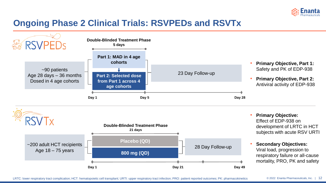

### **Ongoing Phase 2 Clinical Trials: RSVPEDs and RSVTx**





- **Primary Objective:**  Effect of EDP-938 on development of LRTC in HCT subjects with acute RSV URTI
- **Secondary Objectives:**  Viral load, progression to respiratory failure or all-cause mortality, PRO, PK and safety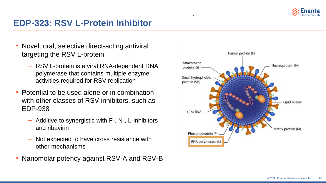

#### **EDP-323: RSV L-Protein Inhibitor**

- Novel, oral, selective direct-acting antiviral targeting the RSV L-protein
	- RSV L-protein is a viral RNA-dependent RNA polymerase that contains multiple enzyme activities required for RSV replication
- Potential to be used alone or in combination with other classes of RSV inhibitors, such as EDP-938
	- Additive to synergistic with F-, N-, L-inhibitors and ribavirin
	- Not expected to have cross resistance with other mechanisms
- Nanomolar potency against RSV-A and RSV-B



.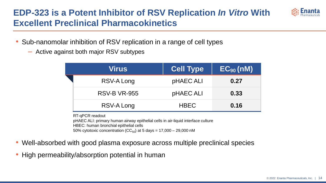### **EDP-323 is a Potent Inhibitor of RSV Replication** *In Vitro* **With Excellent Preclinical Pharmacokinetics**



- Sub-nanomolar inhibition of RSV replication in a range of cell types
	- Active against both major RSV subtypes

| Virus               | <b>Cell Type</b> | $EC_{90}$ (nM) |
|---------------------|------------------|----------------|
| RSV-A Long          | pHAEC ALI        | 0.27           |
| <b>RSV-B VR-955</b> | pHAEC ALI        | 0.33           |
| RSV-A Long          | <b>HBEC</b>      | 0.16           |

RT-qPCR readout

pHAEC ALI: primary human airway epithelial cells in air-liquid interface culture

HBEC: human bronchial epithelial cells

50% cytotoxic concentration (CC $_{50}$ ) at 5 days = 17,000 – 29,000 nM

- Well-absorbed with good plasma exposure across multiple preclinical species
- High permeability/absorption potential in human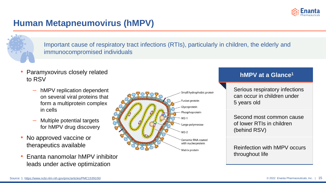

### **Human Metapneumovirus (hMPV)**



Important cause of respiratory tract infections (RTIs), particularly in children, the elderly and immunocompromised individuals

- Paramyxovirus closely related to RSV
	- hMPV replication dependent on several viral proteins that form a multiprotein complex in cells
	- Multiple potential targets for hMPV drug discovery
- No approved vaccine or therapeutics available
- Enanta nanomolar hMPV inhibitor leads under active optimization



#### **hMPV at a Glance<sup>1</sup>**

Serious respiratory infections can occur in children under 5 years old

Second most common cause of lower RTIs in children (behind RSV)

Reinfection with hMPV occurs throughout life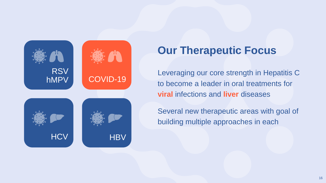

# **Our Therapeutic Focus**

Leveraging our core strength in Hepatitis C to become a leader in oral treatments for **viral** infections and **liver** diseases

Several new therapeutic areas with goal of building multiple approaches in each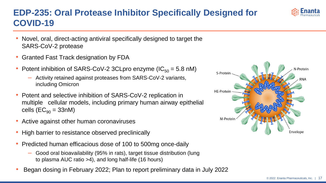#### © 2022 Enanta Pharmaceuticals, Inc. 17

### **EDP-235: Oral Protease Inhibitor Specifically Designed for COVID-19**

- Novel, oral, direct-acting antiviral specifically designed to target the SARS-CoV-2 protease
- Granted Fast Track designation by FDA
- Potent inhibition of SARS-CoV-2 3CLpro enzyme  $(IC_{50} = 5.8 \text{ nM})$ 
	- Activity retained against proteases from SARS-CoV-2 variants, including Omicron
- Potent and selective inhibition of SARS-CoV-2 replication in multiple cellular models, including primary human airway epithelial cells  $(EC_{90} = 33nM)$
- Active against other human coronaviruses
- High barrier to resistance observed preclinically
- Predicted human efficacious dose of 100 to 500mg once-daily
	- Good oral bioavailability (95% in rats), target tissue distribution (lung to plasma AUC ratio >4), and long half-life (16 hours)
- Began dosing in February 2022; Plan to report preliminary data in July 2022



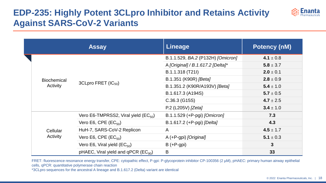## **EDP-235: Highly Potent 3CLpro Inhibitor and Retains Activity Against SARS-CoV-2 Variants**



|  |                    | <b>Assay</b>                                      | <b>Lineage</b>                    | <b>Potency (nM)</b> |
|--|--------------------|---------------------------------------------------|-----------------------------------|---------------------|
|  |                    |                                                   | B.1.1.529, BA.2 (P132H) [Omicron] | 4.1 $\pm$ 0.8       |
|  |                    |                                                   | A [Original] / B.1.617.2 [Delta]* | $5.8 \pm 3.7$       |
|  |                    |                                                   | B.1.1.318 (T21I)                  | $2.0 \pm 0.1$       |
|  | <b>Biochemical</b> |                                                   | B.1.351 (K90R) [Beta]             | $2.8 \pm 0.9$       |
|  | Activity           | 3CLpro FRET (IC <sub>50</sub> )                   | B.1.351.2 (K90R/A193V) [Beta]     | $5.4 \pm 1.0$       |
|  |                    |                                                   | B.1.617.3 (A194S)                 | $5.7 \pm 0.5$       |
|  |                    |                                                   | $C.36.3$ (G15S)                   | 4.7 $\pm$ 2.5       |
|  |                    |                                                   | P.2 (L205V) [Zeta]                | $3.4 \pm 1.0$       |
|  |                    | Vero E6-TMPRSS2, Viral yield $(EC_{50})$          | B.1.1.529 (+P-pgi) [Omicron]      | 7.3                 |
|  |                    | Vero E6, CPE $(EC_{50})$                          | B.1.617.2 (+P-pgi) [Delta]        | 4.3                 |
|  | Cellular           | HuH-7, SARS-CoV-2 Replicon                        | $\mathsf{A}$                      | $4.5 \pm 1.7$       |
|  | Activity           | Vero E6, CPE $(EC_{50})$                          | A (+P-gpi) [Original]             | 5.1 $\pm$ 0.3       |
|  |                    | Vero E6, Viral yield $(EC_{50})$                  | $B (+P-gpi)$                      | $\mathbf{3}$        |
|  |                    | pHAEC, Viral yield and $qPCR$ (EC <sub>90</sub> ) | B                                 | 33                  |

FRET: fluorescence resonance energy transfer, CPE: cytopathic effect, P-gpi: P-glycoprotein inhibitor CP-100356 (2 µM), pHAEC: primary human airway epithelial cells, qPCR: quantitative polymerase chain reaction

\*3CLpro sequences for the ancestral A lineage and B.1.617.2 (Delta) variant are identical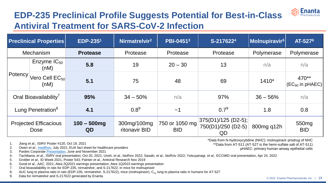# **EDP-235 Preclinical Profile Suggests Potential for Best-in-Class Antiviral Treatment for SARS-CoV-2 Infection**

| <b>Preclinical Properties</b>                         | <b>EDP-2351</b>      | Nirmatrelvir <sup>2</sup>    | <b>PBI-04513</b>             | S-2176224                                         | Molnupiravir <sup>5</sup> | AT-527 <sup>6</sup>             |
|-------------------------------------------------------|----------------------|------------------------------|------------------------------|---------------------------------------------------|---------------------------|---------------------------------|
| <b>Mechanism</b>                                      | <b>Protease</b>      | Protease                     | Protease                     | Protease                                          | Polymerase                | Polymerase                      |
| Enzyme $IC_{50}$<br>(nM)                              | 5.8                  | 19                           | $20 - 30$                    | 13                                                | n/a                       | n/a                             |
| i Potency <sup>1</sup><br>Vero Cell $EC_{50}$<br>(nM) | 5.1                  | 75                           | 48                           | 69                                                | 1410*                     | 470**<br>$(EC_{90}$ in pHAEC)   |
| Oral Bioavailability <sup>7</sup>                     | 95%                  | $34 - 50\%$                  | n/a                          | 97%                                               | $36 - 56%$                | n/a                             |
| Lung Penetration <sup>8</sup>                         | 4.1                  | $0.8^9$                      | ~1                           | $0.7^9$                                           | 1.8                       | 0.8                             |
| <b>Projected Efficacious</b><br><b>Dose</b>           | $100 - 500$ mg<br>QD | 300mg/100mg<br>ritonavir BID | 750 or 1050 mg<br><b>BID</b> | $ 375(D1)/125(D2-5) $<br>750(D1)/250 (D2-5)<br>QD | 800mg q12h                | 550 <sub>mg</sub><br><b>BID</b> |

1. Jiang *et al.,* ISIRV Poster #120, Oct 19, 2021

2. Owen *et al.*, [medRxiv](https://www.medrxiv.org/content/10.1101/2021.07.28.21261232v1), July 2021; EUA fact sheet for healthcare providers

3. Pardes Corporate [Presentation,](https://global-uploads.webflow.com/60590532bc9a9bf240587fee/6109c087a00b6b18a73562f1_pardesBio_06272021.pdf) June and November 2021

4. Tachibana, *et al.,* ISIRV oral presentation, Oct 20, 2021; Unoh, *et al.,* bioRxiv 2022; Sasaki, *et al*., bioRxiv 2022; Yotsuyanagi, *et al.,* ECCMID oral presentation, Apr 24, 2022

5. Grobler *et al.,* ID Week 2021, Poster 543; Painter *et al.,* Antiviral Research Nov 2019

6. Good *et al., AAC*, 2021; Atea 2Q2021 earnings presentation; Atea 1Q2022 earnings presentation

7. Oral bioavailability in rats for EDP-235, nirmatrelvir, and S-217622; in mice for molnupiravir

8. AUC lung to plasma ratio in rats (EDP-235, nirmatrelvir, S-217622), mice (molnupiravir);  $C_{12}$  lung to plasma ratio in humans for AT-527<br>9. Data for nirmatrelvir and S-217622 generated by Enanta

Data for nirmatrelvir and S-217622 generated by Enanta

\*Data from N-hydroxycytidine (NHC): molnupiravir prodrug of NHC \*\*Data from AT-511 (AT-527 is the hemi-sulfate salt of AT-511)

pHAEC: primary human airway epithelial cells

**Enanta**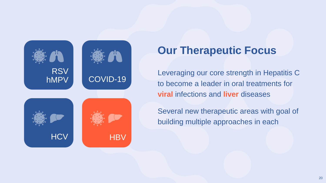

# **Our Therapeutic Focus**

Leveraging our core strength in Hepatitis C to become a leader in oral treatments for **viral** infections and **liver** diseases

Several new therapeutic areas with goal of building multiple approaches in each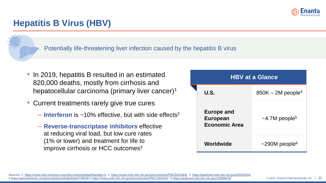

#### **Hepatitis B Virus (HBV)**

Potentially life-threatening liver infection caused by the hepatitis B virus

- In 2019, hepatitis B resulted in an estimated 820,000 deaths, mostly from cirrhosis and hepatocellular carcinoma (primary liver cancer)<sup>1</sup>
- Current treatments rarely give true cures
	- $\blacksquare$  **Interferon** is ~10% effective, but with side effects<sup>2</sup>
	- ‒ **Reverse-transcriptase inhibitors** effective at reducing viral load, but low cure rates (1% or lower) and treatment for life to improve cirrhosis or HCC outcomes<sup>3</sup>

| <b>HBV at a Glance</b>                                       |                                 |  |  |  |  |
|--------------------------------------------------------------|---------------------------------|--|--|--|--|
| U.S.                                                         | $850K - 2M$ people <sup>4</sup> |  |  |  |  |
| <b>Europe and</b><br><b>European</b><br><b>Economic Area</b> | $\sim$ 4.7M people <sup>5</sup> |  |  |  |  |
| Worldwide                                                    | $\sim$ 290M people <sup>6</sup> |  |  |  |  |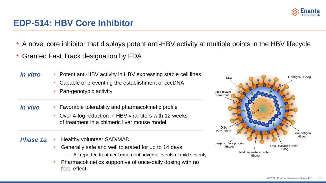

#### **EDP-514: HBV Core Inhibitor**

- A novel core inhibitor that displays potent anti-HBV activity at multiple points in the HBV lifecycle
- Granted Fast Track designation by FDA

*In vitro*

- Potent anti-HBV activity in HBV expressing stable cell lines
	- Capable of preventing the establishment of cccDNA
	- Pan-genotypic activity
- Favorable tolerability and pharmacokinetic profile *In vivo*
	- Over 4-log reduction in HBV viral titers with 12 weeks of treatment in a chimeric liver mouse model
- Healthy volunteer SAD/MAD *Phase 1a*
	- Generally safe and well tolerated for up to 14 days
		- All reported treatment emergent adverse events of mild severity
	- Pharmacokinetics supportive of once-daily dosing with no food effect

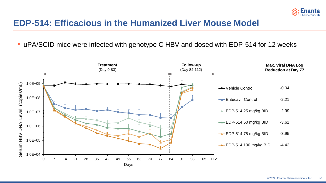

#### **EDP-514: Efficacious in the Humanized Liver Mouse Model**

• uPA/SCID mice were infected with genotype C HBV and dosed with EDP-514 for 12 weeks

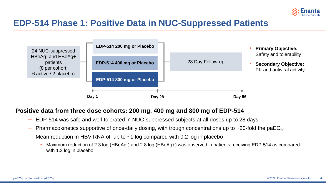

#### **EDP-514 Phase 1: Positive Data in NUC-Suppressed Patients**



#### **Positive data from three dose cohorts: 200 mg, 400 mg and 800 mg of EDP-514**

- EDP-514 was safe and well-tolerated in NUC-suppressed subjects at all doses up to 28 days
- Pharmacokinetics supportive of once-daily dosing, with trough concentrations up to ~20-fold the paEC<sub>50</sub>
- $-$  Mean reduction in HBV RNA of up to  $\sim$ 1 log compared with 0.2 log in placebo
	- Maximum reduction of 2.3 log (HBeAg-) and 2.8 log (HBeAg+) was observed in patients receiving EDP-514 as compared with 1.2 log in placebo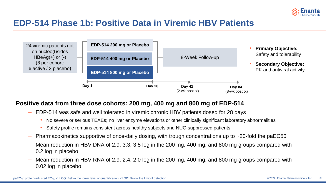

#### **EDP-514 Phase 1b: Positive Data in Viremic HBV Patients**



#### **Positive data from three dose cohorts: 200 mg, 400 mg and 800 mg of EDP-514**

- EDP-514 was safe and well tolerated in viremic chronic HBV patients dosed for 28 days
	- No severe or serious TEAEs; no liver enzyme elevations or other clinically significant laboratory abnormalities
	- Safety profile remains consistent across healthy subjects and NUC-suppressed patients
- Pharmacokinetics supportive of once-daily dosing, with trough concentrations up to  $\sim$ 20-fold the paEC50
- Mean reduction in HBV DNA of 2.9, 3.3, 3.5 log in the 200 mg, 400 mg, and 800 mg groups compared with 0.2 log in placebo
- Mean reduction in HBV RNA of 2.9, 2.4, 2.0 log in the 200 mg, 400 mg, and 800 mg groups compared with 0.02 log in placebo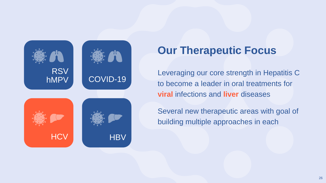

# **Our Therapeutic Focus**

Leveraging our core strength in Hepatitis C to become a leader in oral treatments for **viral** infections and **liver** diseases

Several new therapeutic areas with goal of building multiple approaches in each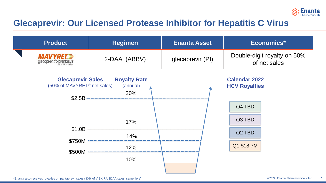

#### **Glecaprevir: Our Licensed Protease Inhibitor for Hepatitis C Virus**

| <b>Product</b>                               | <b>Regimen</b> | <b>Enanta Asset</b> | Economics*                                  |  |
|----------------------------------------------|----------------|---------------------|---------------------------------------------|--|
| <b>MAVYRET</b> =<br>glecaprevir/pibrentasvir | 2-DAA (ABBV)   | glecaprevir (PI)    | Double-digit royalty on 50%<br>of net sales |  |

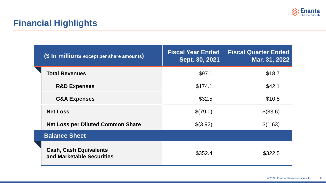

### **Financial Highlights**

|  | (\$ In millions except per share amounts)                  | <b>Fiscal Year Ended</b><br>Sept. 30, 2021 | <b>Fiscal Quarter Ended</b><br>Mar. 31, 2022 |
|--|------------------------------------------------------------|--------------------------------------------|----------------------------------------------|
|  | <b>Total Revenues</b>                                      | \$97.1                                     | \$18.7                                       |
|  | <b>R&amp;D Expenses</b>                                    | \$174.1                                    | \$42.1                                       |
|  | <b>G&amp;A Expenses</b>                                    | \$32.5                                     | \$10.5                                       |
|  | <b>Net Loss</b>                                            | \$(79.0)                                   | \$(33.6)                                     |
|  | <b>Net Loss per Diluted Common Share</b>                   | \$(3.92)                                   | \$(1.63)                                     |
|  | <b>Balance Sheet</b>                                       |                                            |                                              |
|  | <b>Cash, Cash Equivalents</b><br>and Marketable Securities | \$352.4                                    | \$322.5                                      |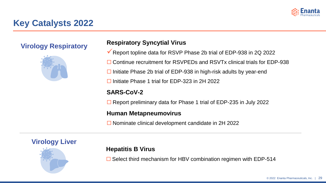

#### **Key Catalysts 2022**

**Virology Respiratory**



#### **Respiratory Syncytial Virus**

- ✓Report topline data for RSVP Phase 2b trial of EDP-938 in 2Q 2022
- □ Continue recruitment for RSVPEDs and RSVTx clinical trials for EDP-938
- $\Box$  Initiate Phase 2b trial of EDP-938 in high-risk adults by year-end
- $\Box$  Initiate Phase 1 trial for EDP-323 in 2H 2022

#### **SARS-CoV-2**

 $\Box$  Report preliminary data for Phase 1 trial of EDP-235 in July 2022

#### **Human Metapneumovirus**

 $\Box$  Nominate clinical development candidate in 2H 2022



#### **Hepatitis B Virus**

 $\Box$  Select third mechanism for HBV combination regimen with EDP-514